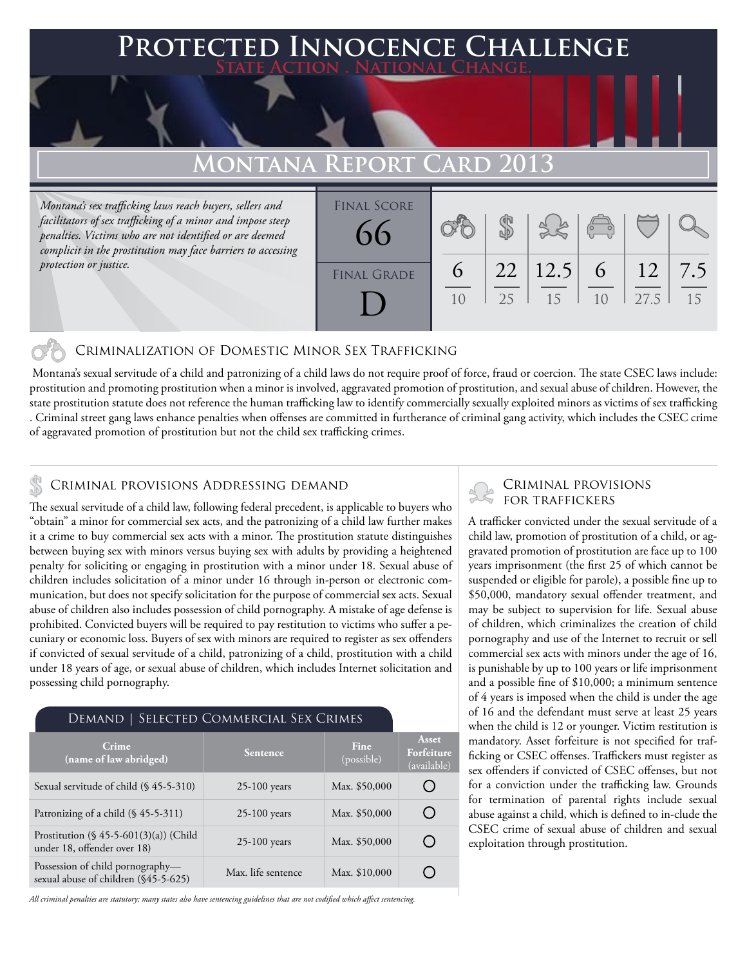## **FED INNOCENCE CHALLENGE State Action . National Change. MONTANA REPORT CARD 20** *Montana's sex trafficking laws reach buyers, sellers and facilitators of sex trafficking of a minor and impose steep penalties. Victims who are not identified or are deemed complicit in the prostitution may face barriers to accessing protection or justice.* \$ Final Score 66

### Criminalization of Domestic Minor Sex Trafficking

 Montana's sexual servitude of a child and patronizing of a child laws do not require proof of force, fraud or coercion. The state CSEC laws include: prostitution and promoting prostitution when a minor is involved, aggravated promotion of prostitution, and sexual abuse of children. However, the state prostitution statute does not reference the human trafficking law to identify commercially sexually exploited minors as victims of sex trafficking . Criminal street gang laws enhance penalties when offenses are committed in furtherance of criminal gang activity, which includes the CSEC crime of aggravated promotion of prostitution but not the child sex trafficking crimes.

FINAL GRADE

D

10

25

15

 $1<sub>0</sub>$ 

27.5

15

7.5

12

6

12.5

22

6

### CRIMINAL PROVISIONS ADDRESSING DEMAND

The sexual servitude of a child law, following federal precedent, is applicable to buyers who "obtain" a minor for commercial sex acts, and the patronizing of a child law further makes it a crime to buy commercial sex acts with a minor. The prostitution statute distinguishes between buying sex with minors versus buying sex with adults by providing a heightened penalty for soliciting or engaging in prostitution with a minor under 18. Sexual abuse of children includes solicitation of a minor under 16 through in-person or electronic communication, but does not specify solicitation for the purpose of commercial sex acts. Sexual abuse of children also includes possession of child pornography. A mistake of age defense is prohibited. Convicted buyers will be required to pay restitution to victims who suffer a pecuniary or economic loss. Buyers of sex with minors are required to register as sex offenders if convicted of sexual servitude of a child, patronizing of a child, prostitution with a child under 18 years of age, or sexual abuse of children, which includes Internet solicitation and possessing child pornography.

#### Demand | Selected Commercial Sex Crimes

| Crime<br>(name of law abridged)                                          | <b>Sentence</b>    | <b>Fine</b><br>(possible) | <b>Asset</b><br>Forfeiture<br>(available) |
|--------------------------------------------------------------------------|--------------------|---------------------------|-------------------------------------------|
| Sexual servitude of child (§ 45-5-310)                                   | $25-100$ years     | Max. \$50,000             |                                           |
| Patronizing of a child $(\S 45-5-311)$                                   | $25-100$ years     | Max. \$50,000             |                                           |
| Prostitution $(\S 45-5-601(3)(a))$ (Child<br>under 18, offender over 18) | $25-100$ years     | Max. \$50,000             |                                           |
| Possession of child pornography-<br>sexual abuse of children (§45-5-625) | Max. life sentence | Max. \$10,000             |                                           |

*All criminal penalties are statutory; many states also have sentencing guidelines that are not codified which affect sentencing.* 

# Criminal provisions

A trafficker convicted under the sexual servitude of a child law, promotion of prostitution of a child, or aggravated promotion of prostitution are face up to 100 years imprisonment (the first 25 of which cannot be suspended or eligible for parole), a possible fine up to \$50,000, mandatory sexual offender treatment, and may be subject to supervision for life. Sexual abuse of children, which criminalizes the creation of child pornography and use of the Internet to recruit or sell commercial sex acts with minors under the age of 16, is punishable by up to 100 years or life imprisonment and a possible fine of \$10,000; a minimum sentence of 4 years is imposed when the child is under the age of 16 and the defendant must serve at least 25 years when the child is 12 or younger. Victim restitution is mandatory. Asset forfeiture is not specified for trafficking or CSEC offenses. Traffickers must register as sex offenders if convicted of CSEC offenses, but not for a conviction under the trafficking law. Grounds for termination of parental rights include sexual abuse against a child, which is defined to in-clude the CSEC crime of sexual abuse of children and sexual exploitation through prostitution.